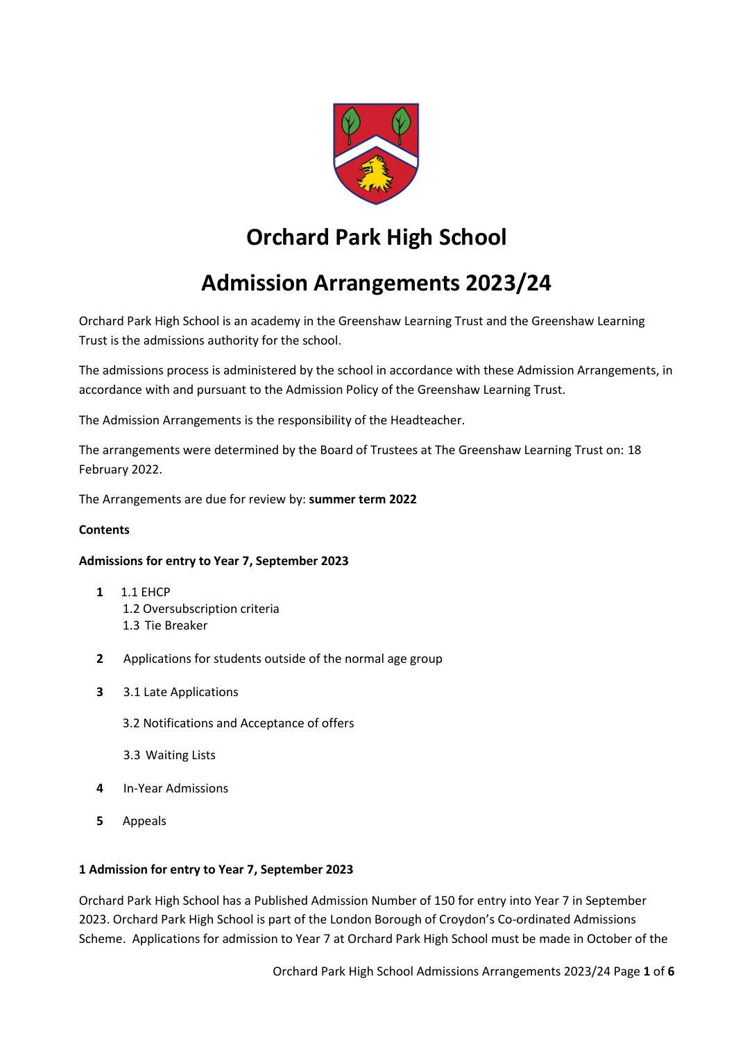

# **Orchard Park High School**

# **Admission Arrangements 2023/24**

Orchard Park High School is an academy in the Greenshaw Learning Trust and the Greenshaw Learning Trust is the admissions authority for the school.

The admissions process is administered by the school in accordance with these Admission Arrangements, in accordance with and pursuant to the Admission Policy of the Greenshaw Learning Trust.

The Admission Arrangements is the responsibility of the Headteacher.

The arrangements were determined by the Board of Trustees at The Greenshaw Learning Trust on: 18 February 2022.

The Arrangements are due for review by: **summer term 2022**

#### **Contents**

#### **Admissions for entry to Year 7, September 2023**

- **1** 1.1 EHCP 1.2 Oversubscription criteria 1.3 Tie Breaker
- **2** Applications for students outside of the normal age group
- **3** 3.1 Late Applications
	- 3.2 Notifications and Acceptance of offers
	- 3.3 Waiting Lists
- **4** In-Year Admissions
- **5** Appeals

#### **1 Admission for entry to Year 7, September 2023**

Orchard Park High School has a Published Admission Number of 150 for entry into Year 7 in September 2023. Orchard Park High School is part of the London Borough of Croydon's Co-ordinated Admissions Scheme. Applications for admission to Year 7 at Orchard Park High School must be made in October of the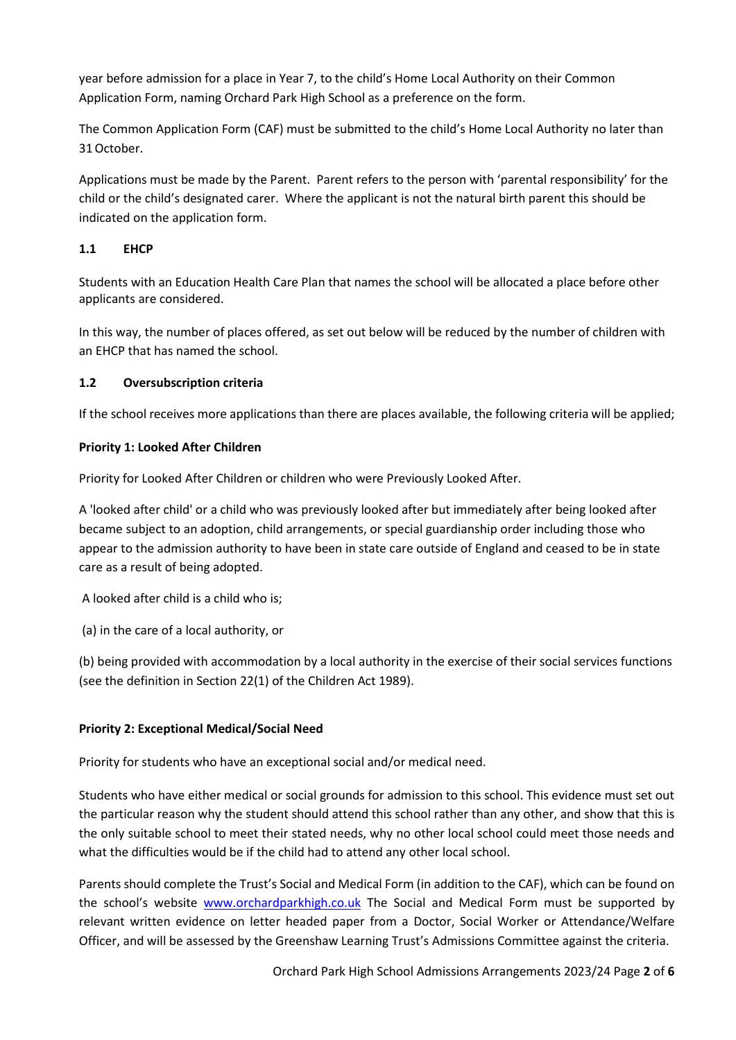year before admission for a place in Year 7, to the child's Home Local Authority on their Common Application Form, naming Orchard Park High School as a preference on the form.

The Common Application Form (CAF) must be submitted to the child's Home Local Authority no later than 31October.

Applications must be made by the Parent. Parent refers to the person with 'parental responsibility' for the child or the child's designated carer. Where the applicant is not the natural birth parent this should be indicated on the application form.

# **1.1 EHCP**

Students with an Education Health Care Plan that names the school will be allocated a place before other applicants are considered.

In this way, the number of places offered, as set out below will be reduced by the number of children with an EHCP that has named the school.

## **1.2 Oversubscription criteria**

If the school receives more applications than there are places available, the following criteria will be applied;

## **Priority 1: Looked After Children**

Priority for Looked After Children or children who were Previously Looked After.

A 'looked after child' or a child who was previously looked after but immediately after being looked after became subject to an adoption, child arrangements, or special guardianship order including those who appear to the admission authority to have been in state care outside of England and ceased to be in state care as a result of being adopted.

A looked after child is a child who is;

(a) in the care of a local authority, or

(b) being provided with accommodation by a local authority in the exercise of their social services functions (see the definition in Section 22(1) of the Children Act 1989).

# **Priority 2: Exceptional Medical/Social Need**

Priority for students who have an exceptional social and/or medical need.

Students who have either medical or social grounds for admission to this school. This evidence must set out the particular reason why the student should attend this school rather than any other, and show that this is the only suitable school to meet their stated needs, why no other local school could meet those needs and what the difficulties would be if the child had to attend any other local school.

Parents should complete the Trust's Social and Medical Form (in addition to the CAF), which can be found on the school's website [www.orchardparkhigh.co.uk](http://www.orchardparkhigh.co.uk/) The Social and Medical Form must be supported by relevant written evidence on letter headed paper from a Doctor, Social Worker or Attendance/Welfare Officer, and will be assessed by the Greenshaw Learning Trust's Admissions Committee against the criteria.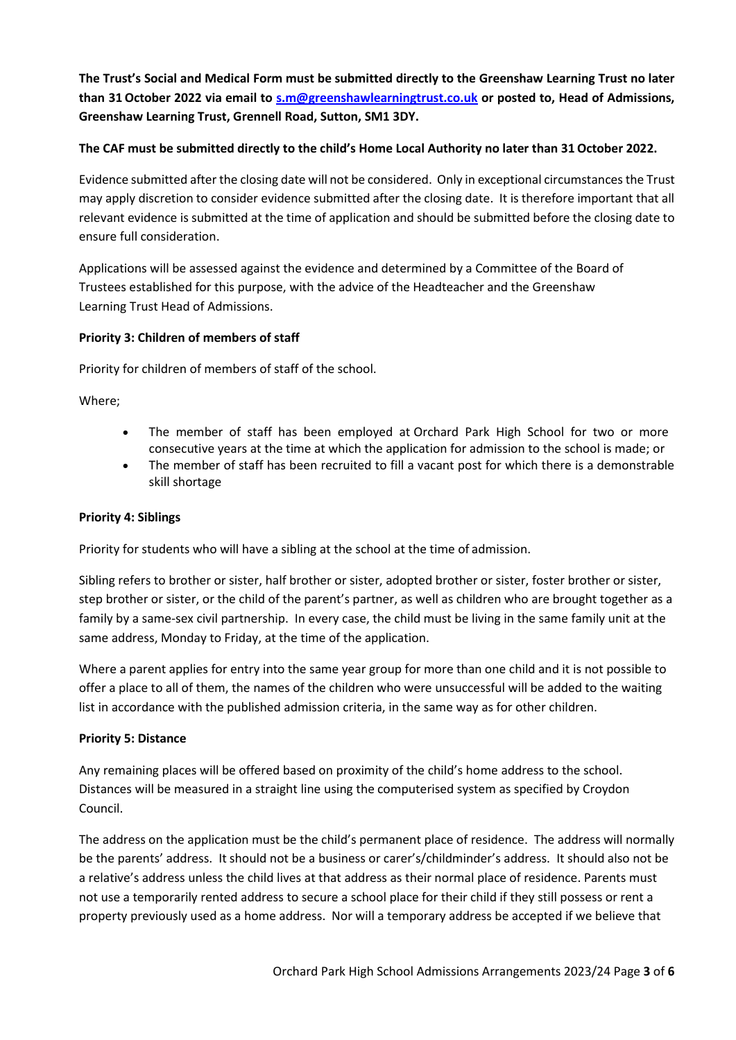**The Trust's Social and Medical Form must be submitted directly to the Greenshaw Learning Trust no later than 31October 2022 via email to [s.m@greenshawlearningtrust.co.uk](mailto:s.m@greenshawlearningtrust.co.uk) or posted to, Head of Admissions, Greenshaw Learning Trust, Grennell Road, Sutton, SM1 3DY.**

## **The CAF must be submitted directly to the child's Home Local Authority no later than 31 October 2022.**

Evidence submitted after the closing date will not be considered. Only in exceptional circumstances the Trust may apply discretion to consider evidence submitted after the closing date. It is therefore important that all relevant evidence is submitted at the time of application and should be submitted before the closing date to ensure full consideration.

Applications will be assessed against the evidence and determined by a Committee of the Board of Trustees established for this purpose, with the advice of the Headteacher and the Greenshaw Learning Trust Head of Admissions.

## **Priority 3: Children of members of staff**

Priority for children of members of staff of the school.

Where;

- The member of staff has been employed at Orchard Park High School for two or more consecutive years at the time at which the application for admission to the school is made; or
- The member of staff has been recruited to fill a vacant post for which there is a demonstrable skill shortage

#### **Priority 4: Siblings**

Priority for students who will have a sibling at the school at the time of admission.

Sibling refers to brother or sister, half brother or sister, adopted brother or sister, foster brother or sister, step brother or sister, or the child of the parent's partner, as well as children who are brought together as a family by a same-sex civil partnership. In every case, the child must be living in the same family unit at the same address, Monday to Friday, at the time of the application.

Where a parent applies for entry into the same year group for more than one child and it is not possible to offer a place to all of them, the names of the children who were unsuccessful will be added to the waiting list in accordance with the published admission criteria, in the same way as for other children.

#### **Priority 5: Distance**

Any remaining places will be offered based on proximity of the child's home address to the school. Distances will be measured in a straight line using the computerised system as specified by Croydon Council.

The address on the application must be the child's permanent place of residence. The address will normally be the parents' address. It should not be a business or carer's/childminder's address. It should also not be a relative's address unless the child lives at that address as their normal place of residence. Parents must not use a temporarily rented address to secure a school place for their child if they still possess or rent a property previously used as a home address. Nor will a temporary address be accepted if we believe that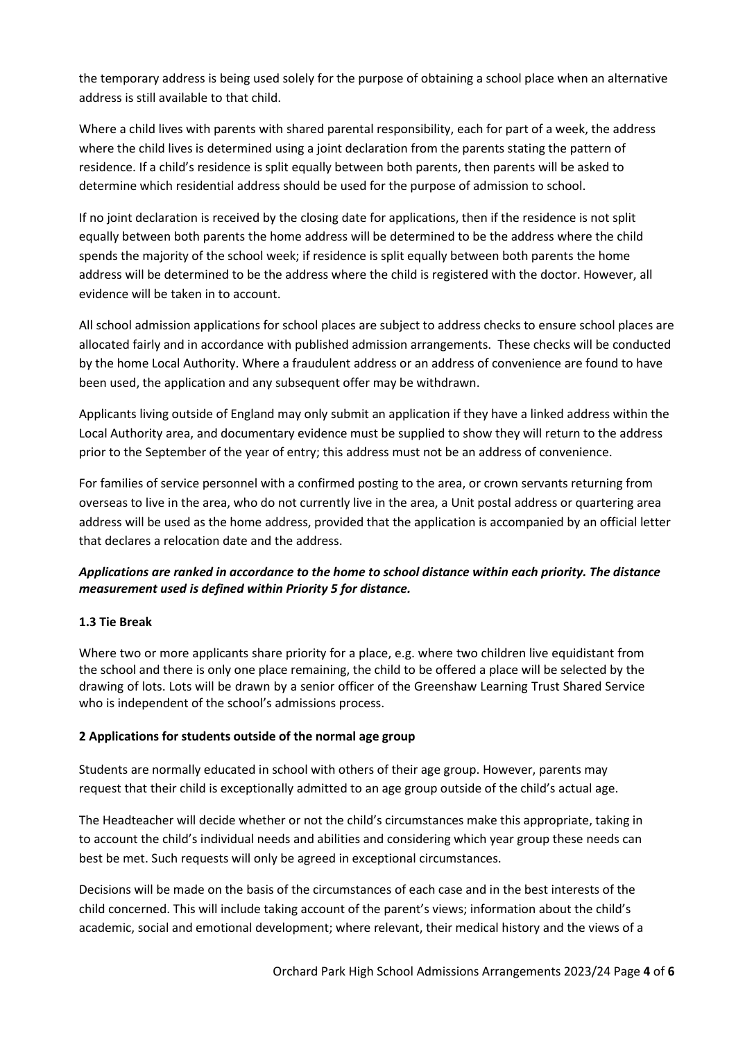the temporary address is being used solely for the purpose of obtaining a school place when an alternative address is still available to that child.

Where a child lives with parents with shared parental responsibility, each for part of a week, the address where the child lives is determined using a joint declaration from the parents stating the pattern of residence. If a child's residence is split equally between both parents, then parents will be asked to determine which residential address should be used for the purpose of admission to school.

If no joint declaration is received by the closing date for applications, then if the residence is not split equally between both parents the home address will be determined to be the address where the child spends the majority of the school week; if residence is split equally between both parents the home address will be determined to be the address where the child is registered with the doctor. However, all evidence will be taken in to account.

All school admission applications for school places are subject to address checks to ensure school places are allocated fairly and in accordance with published admission arrangements. These checks will be conducted by the home Local Authority. Where a fraudulent address or an address of convenience are found to have been used, the application and any subsequent offer may be withdrawn.

Applicants living outside of England may only submit an application if they have a linked address within the Local Authority area, and documentary evidence must be supplied to show they will return to the address prior to the September of the year of entry; this address must not be an address of convenience.

For families of service personnel with a confirmed posting to the area, or crown servants returning from overseas to live in the area, who do not currently live in the area, a Unit postal address or quartering area address will be used as the home address, provided that the application is accompanied by an official letter that declares a relocation date and the address.

# *Applications are ranked in accordance to the home to school distance within each priority. The distance measurement used is defined within Priority 5 for distance.*

# **1.3 Tie Break**

Where two or more applicants share priority for a place, e.g. where two children live equidistant from the school and there is only one place remaining, the child to be offered a place will be selected by the drawing of lots. Lots will be drawn by a senior officer of the Greenshaw Learning Trust Shared Service who is independent of the school's admissions process.

#### **2 Applications for students outside of the normal age group**

Students are normally educated in school with others of their age group. However, parents may request that their child is exceptionally admitted to an age group outside of the child's actual age.

The Headteacher will decide whether or not the child's circumstances make this appropriate, taking in to account the child's individual needs and abilities and considering which year group these needs can best be met. Such requests will only be agreed in exceptional circumstances.

Decisions will be made on the basis of the circumstances of each case and in the best interests of the child concerned. This will include taking account of the parent's views; information about the child's academic, social and emotional development; where relevant, their medical history and the views of a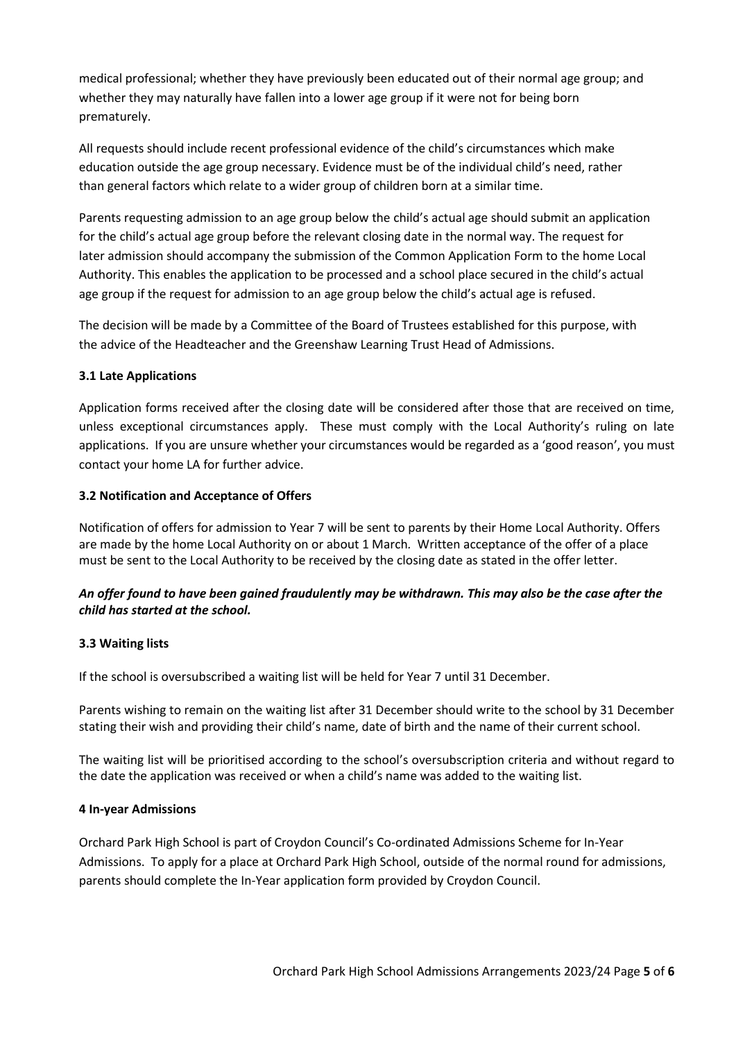medical professional; whether they have previously been educated out of their normal age group; and whether they may naturally have fallen into a lower age group if it were not for being born prematurely.

All requests should include recent professional evidence of the child's circumstances which make education outside the age group necessary. Evidence must be of the individual child's need, rather than general factors which relate to a wider group of children born at a similar time.

Parents requesting admission to an age group below the child's actual age should submit an application for the child's actual age group before the relevant closing date in the normal way. The request for later admission should accompany the submission of the Common Application Form to the home Local Authority. This enables the application to be processed and a school place secured in the child's actual age group if the request for admission to an age group below the child's actual age is refused.

The decision will be made by a Committee of the Board of Trustees established for this purpose, with the advice of the Headteacher and the Greenshaw Learning Trust Head of Admissions.

## **3.1 Late Applications**

Application forms received after the closing date will be considered after those that are received on time, unless exceptional circumstances apply. These must comply with the Local Authority's ruling on late applications. If you are unsure whether your circumstances would be regarded as a 'good reason', you must contact your home LA for further advice.

#### **3.2 Notification and Acceptance of Offers**

Notification of offers for admission to Year 7 will be sent to parents by their Home Local Authority. Offers are made by the home Local Authority on or about 1 March*.* Written acceptance of the offer of a place must be sent to the Local Authority to be received by the closing date as stated in the offer letter.

## *An offer found to have been gained fraudulently may be withdrawn. This may also be the case after the child has started at the school.*

#### **3.3 Waiting lists**

If the school is oversubscribed a waiting list will be held for Year 7 until 31 December.

Parents wishing to remain on the waiting list after 31 December should write to the school by 31 December stating their wish and providing their child's name, date of birth and the name of their current school.

The waiting list will be prioritised according to the school's oversubscription criteria and without regard to the date the application was received or when a child's name was added to the waiting list.

#### **4 In-year Admissions**

Orchard Park High School is part of Croydon Council's Co-ordinated Admissions Scheme for In-Year Admissions. To apply for a place at Orchard Park High School, outside of the normal round for admissions, parents should complete the In-Year application form provided by Croydon Council.